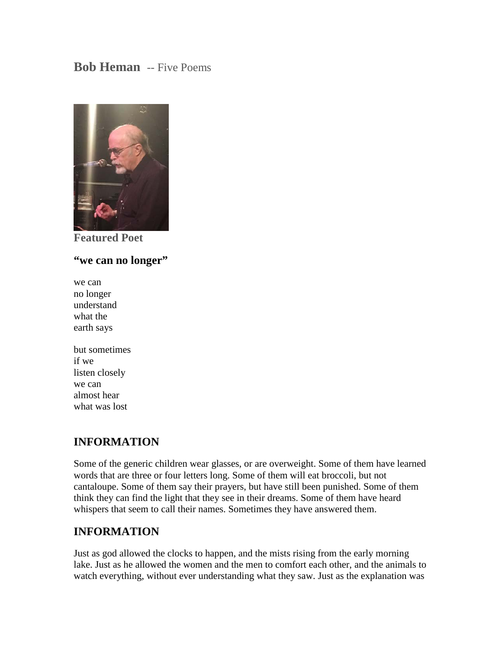# **Bob Heman** -- Five Poems



**Featured Poet**

#### **"we can no longer"**

- we can no longer understand what the earth says
- but sometimes if we listen closely we can almost hear what was lost

## **INFORMATION**

Some of the generic children wear glasses, or are overweight. Some of them have learned words that are three or four letters long. Some of them will eat broccoli, but not cantaloupe. Some of them say their prayers, but have still been punished. Some of them think they can find the light that they see in their dreams. Some of them have heard whispers that seem to call their names. Sometimes they have answered them.

## **INFORMATION**

Just as god allowed the clocks to happen, and the mists rising from the early morning lake. Just as he allowed the women and the men to comfort each other, and the animals to watch everything, without ever understanding what they saw. Just as the explanation was